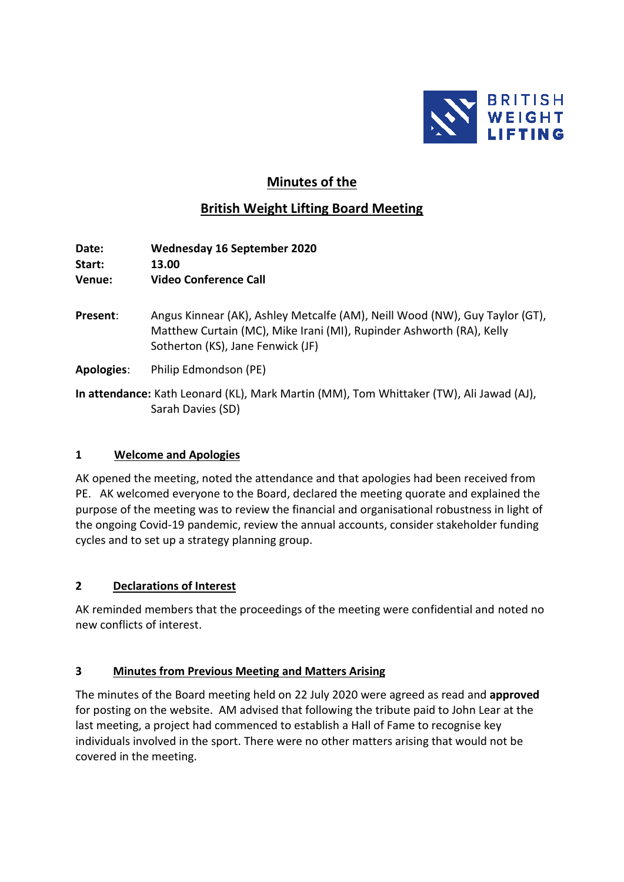

# **Minutes of the**

# **British Weight Lifting Board Meeting**

**Date: Wednesday 16 September 2020 Start: 13.00 Venue: Video Conference Call**

- **Present**: Angus Kinnear (AK), Ashley Metcalfe (AM), Neill Wood (NW), Guy Taylor (GT), Matthew Curtain (MC), Mike Irani (MI), Rupinder Ashworth (RA), Kelly Sotherton (KS), Jane Fenwick (JF)
- **Apologies**: Philip Edmondson (PE)

**In attendance:** Kath Leonard (KL), Mark Martin (MM), Tom Whittaker (TW), Ali Jawad (AJ), Sarah Davies (SD)

## **1 Welcome and Apologies**

AK opened the meeting, noted the attendance and that apologies had been received from PE. AK welcomed everyone to the Board, declared the meeting quorate and explained the purpose of the meeting was to review the financial and organisational robustness in light of the ongoing Covid-19 pandemic, review the annual accounts, consider stakeholder funding cycles and to set up a strategy planning group.

## **2 Declarations of Interest**

AK reminded members that the proceedings of the meeting were confidential and noted no new conflicts of interest.

## **3 Minutes from Previous Meeting and Matters Arising**

The minutes of the Board meeting held on 22 July 2020 were agreed as read and **approved** for posting on the website. AM advised that following the tribute paid to John Lear at the last meeting, a project had commenced to establish a Hall of Fame to recognise key individuals involved in the sport. There were no other matters arising that would not be covered in the meeting.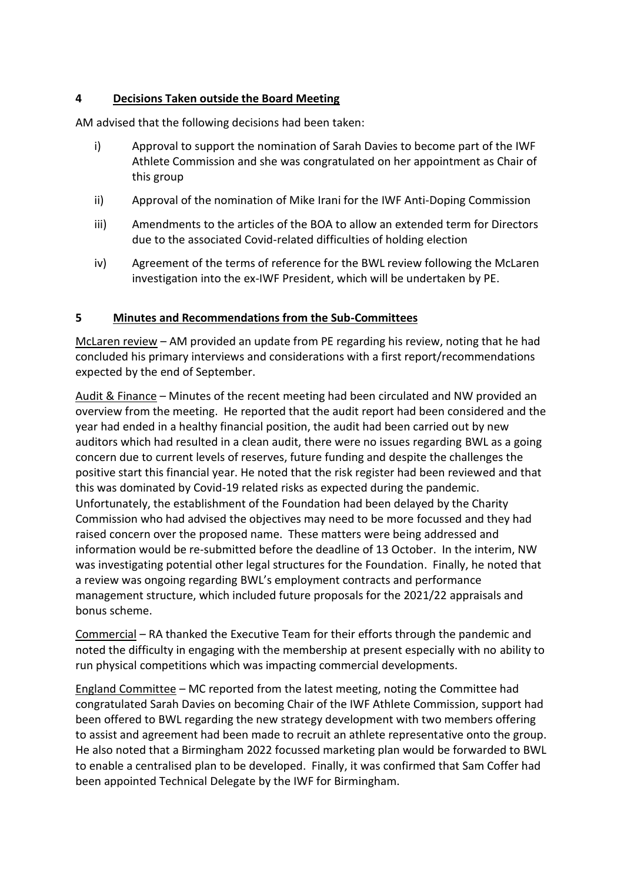## **4 Decisions Taken outside the Board Meeting**

AM advised that the following decisions had been taken:

- i) Approval to support the nomination of Sarah Davies to become part of the IWF Athlete Commission and she was congratulated on her appointment as Chair of this group
- ii) Approval of the nomination of Mike Irani for the IWF Anti-Doping Commission
- iii) Amendments to the articles of the BOA to allow an extended term for Directors due to the associated Covid-related difficulties of holding election
- iv) Agreement of the terms of reference for the BWL review following the McLaren investigation into the ex-IWF President, which will be undertaken by PE.

#### **5 Minutes and Recommendations from the Sub-Committees**

McLaren review – AM provided an update from PE regarding his review, noting that he had concluded his primary interviews and considerations with a first report/recommendations expected by the end of September.

Audit & Finance – Minutes of the recent meeting had been circulated and NW provided an overview from the meeting. He reported that the audit report had been considered and the year had ended in a healthy financial position, the audit had been carried out by new auditors which had resulted in a clean audit, there were no issues regarding BWL as a going concern due to current levels of reserves, future funding and despite the challenges the positive start this financial year. He noted that the risk register had been reviewed and that this was dominated by Covid-19 related risks as expected during the pandemic. Unfortunately, the establishment of the Foundation had been delayed by the Charity Commission who had advised the objectives may need to be more focussed and they had raised concern over the proposed name. These matters were being addressed and information would be re-submitted before the deadline of 13 October. In the interim, NW was investigating potential other legal structures for the Foundation. Finally, he noted that a review was ongoing regarding BWL's employment contracts and performance management structure, which included future proposals for the 2021/22 appraisals and bonus scheme.

Commercial – RA thanked the Executive Team for their efforts through the pandemic and noted the difficulty in engaging with the membership at present especially with no ability to run physical competitions which was impacting commercial developments.

England Committee – MC reported from the latest meeting, noting the Committee had congratulated Sarah Davies on becoming Chair of the IWF Athlete Commission, support had been offered to BWL regarding the new strategy development with two members offering to assist and agreement had been made to recruit an athlete representative onto the group. He also noted that a Birmingham 2022 focussed marketing plan would be forwarded to BWL to enable a centralised plan to be developed. Finally, it was confirmed that Sam Coffer had been appointed Technical Delegate by the IWF for Birmingham.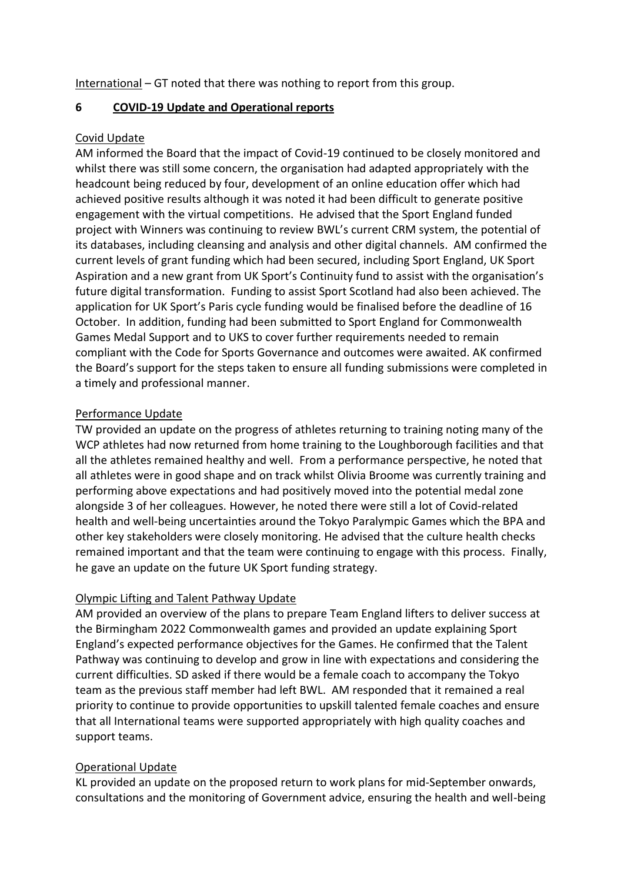International – GT noted that there was nothing to report from this group.

## **6 COVID-19 Update and Operational reports**

## Covid Update

AM informed the Board that the impact of Covid-19 continued to be closely monitored and whilst there was still some concern, the organisation had adapted appropriately with the headcount being reduced by four, development of an online education offer which had achieved positive results although it was noted it had been difficult to generate positive engagement with the virtual competitions. He advised that the Sport England funded project with Winners was continuing to review BWL's current CRM system, the potential of its databases, including cleansing and analysis and other digital channels. AM confirmed the current levels of grant funding which had been secured, including Sport England, UK Sport Aspiration and a new grant from UK Sport's Continuity fund to assist with the organisation's future digital transformation. Funding to assist Sport Scotland had also been achieved. The application for UK Sport's Paris cycle funding would be finalised before the deadline of 16 October. In addition, funding had been submitted to Sport England for Commonwealth Games Medal Support and to UKS to cover further requirements needed to remain compliant with the Code for Sports Governance and outcomes were awaited. AK confirmed the Board's support for the steps taken to ensure all funding submissions were completed in a timely and professional manner.

## Performance Update

TW provided an update on the progress of athletes returning to training noting many of the WCP athletes had now returned from home training to the Loughborough facilities and that all the athletes remained healthy and well. From a performance perspective, he noted that all athletes were in good shape and on track whilst Olivia Broome was currently training and performing above expectations and had positively moved into the potential medal zone alongside 3 of her colleagues. However, he noted there were still a lot of Covid-related health and well-being uncertainties around the Tokyo Paralympic Games which the BPA and other key stakeholders were closely monitoring. He advised that the culture health checks remained important and that the team were continuing to engage with this process. Finally, he gave an update on the future UK Sport funding strategy.

## Olympic Lifting and Talent Pathway Update

AM provided an overview of the plans to prepare Team England lifters to deliver success at the Birmingham 2022 Commonwealth games and provided an update explaining Sport England's expected performance objectives for the Games. He confirmed that the Talent Pathway was continuing to develop and grow in line with expectations and considering the current difficulties. SD asked if there would be a female coach to accompany the Tokyo team as the previous staff member had left BWL. AM responded that it remained a real priority to continue to provide opportunities to upskill talented female coaches and ensure that all International teams were supported appropriately with high quality coaches and support teams.

## Operational Update

KL provided an update on the proposed return to work plans for mid-September onwards, consultations and the monitoring of Government advice, ensuring the health and well-being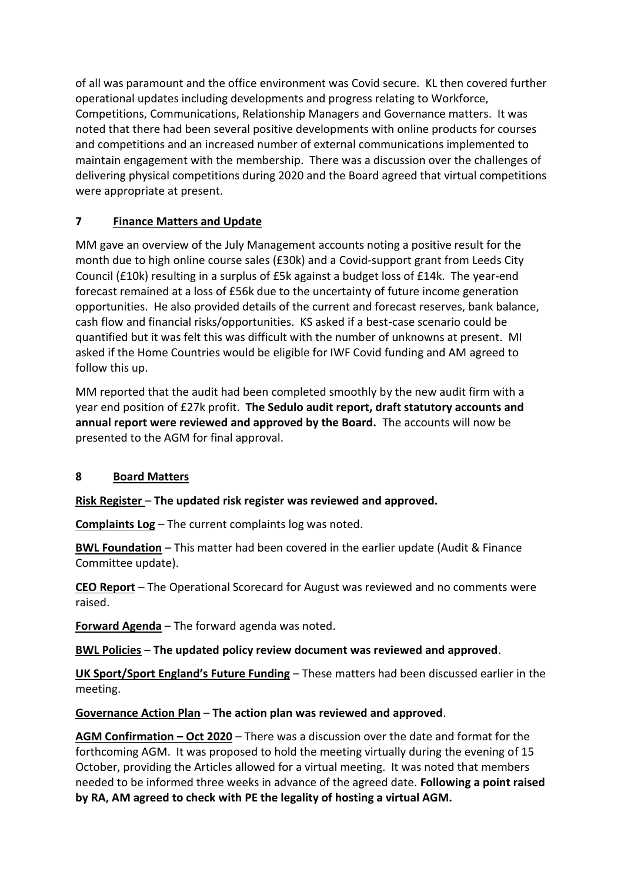of all was paramount and the office environment was Covid secure. KL then covered further operational updates including developments and progress relating to Workforce, Competitions, Communications, Relationship Managers and Governance matters. It was noted that there had been several positive developments with online products for courses and competitions and an increased number of external communications implemented to maintain engagement with the membership. There was a discussion over the challenges of delivering physical competitions during 2020 and the Board agreed that virtual competitions were appropriate at present.

# **7 Finance Matters and Update**

MM gave an overview of the July Management accounts noting a positive result for the month due to high online course sales (£30k) and a Covid-support grant from Leeds City Council (£10k) resulting in a surplus of £5k against a budget loss of £14k. The year-end forecast remained at a loss of £56k due to the uncertainty of future income generation opportunities. He also provided details of the current and forecast reserves, bank balance, cash flow and financial risks/opportunities. KS asked if a best-case scenario could be quantified but it was felt this was difficult with the number of unknowns at present. MI asked if the Home Countries would be eligible for IWF Covid funding and AM agreed to follow this up.

MM reported that the audit had been completed smoothly by the new audit firm with a year end position of £27k profit. **The Sedulo audit report, draft statutory accounts and annual report were reviewed and approved by the Board.** The accounts will now be presented to the AGM for final approval.

# **8 Board Matters**

**Risk Register** – **The updated risk register was reviewed and approved.**

**Complaints Log** – The current complaints log was noted.

**BWL Foundation** – This matter had been covered in the earlier update (Audit & Finance Committee update).

**CEO Report** – The Operational Scorecard for August was reviewed and no comments were raised.

**Forward Agenda** – The forward agenda was noted.

**BWL Policies** – **The updated policy review document was reviewed and approved**.

**UK Sport/Sport England's Future Funding** – These matters had been discussed earlier in the meeting.

**Governance Action Plan** – **The action plan was reviewed and approved**.

**AGM Confirmation – Oct 2020** – There was a discussion over the date and format for the forthcoming AGM. It was proposed to hold the meeting virtually during the evening of 15 October, providing the Articles allowed for a virtual meeting. It was noted that members needed to be informed three weeks in advance of the agreed date. **Following a point raised by RA, AM agreed to check with PE the legality of hosting a virtual AGM.**